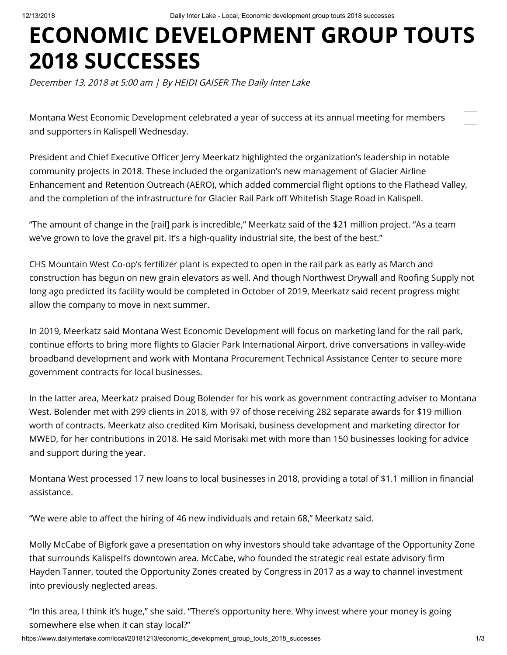## **ECONOMIC DEVELOPMENT GROUP TOUTS 2018 SUCCESSES**

December 13, 2018 at 5:00 am | By HEIDI GAISER The Daily Inter Lake

Montana West Economic Development celebrated a year of success at its annual meeting for members and supporters in Kalispell Wednesday.

President and Chief Executive Officer Jerry Meerkatz highlighted the organization's leadership in notable community projects in 2018. These included the organization's new management of Glacier Airline Enhancement and Retention Outreach (AERO), which added commercial flight options to the Flathead Valley, and the completion of the infrastructure for Glacier Rail Park off Whitefish Stage Road in Kalispell.

"The amount of change in the [rail] park is incredible," Meerkatz said of the \$21 million project. "As a team we've grown to love the gravel pit. It's a high-quality industrial site, the best of the best."

CHS Mountain West Co-op's fertilizer plant is expected to open in the rail park as early as March and construction has begun on new grain elevators as well. And though Northwest Drywall and Roofing Supply not long ago predicted its facility would be completed in October of 2019, Meerkatz said recent progress might allow the company to move in next summer.

In 2019, Meerkatz said Montana West Economic Development will focus on marketing land for the rail park, continue efforts to bring more flights to Glacier Park International Airport, drive conversations in valley-wide broadband development and work with Montana Procurement Technical Assistance Center to secure more government contracts for local businesses.

In the latter area, Meerkatz praised Doug Bolender for his work as government contracting adviser to Montana West. Bolender met with 299 clients in 2018, with 97 of those receiving 282 separate awards for \$19 million worth of contracts. Meerkatz also credited Kim Morisaki, business development and marketing director for MWED, for her contributions in 2018. He said Morisaki met with more than 150 businesses looking for advice and support during the year.

Montana West processed 17 new loans to local businesses in 2018, providing a total of \$1.1 million in financial assistance.

"We were able to affect the hiring of 46 new individuals and retain 68," Meerkatz said.

Molly McCabe of Bigfork gave a presentation on why investors should take advantage of the Opportunity Zone that surrounds Kalispell's downtown area. McCabe, who founded the strategic real estate advisory firm Hayden Tanner, touted the Opportunity Zones created by Congress in 2017 as a way to channel investment into previously neglected areas.

"In this area, I think it's huge," she said. "There's opportunity here. Why invest where your money is going somewhere else when it can stay local?"

https://www.dailyinterlake.com/local/20181213/economic\_development\_group\_touts\_2018\_successes 1/3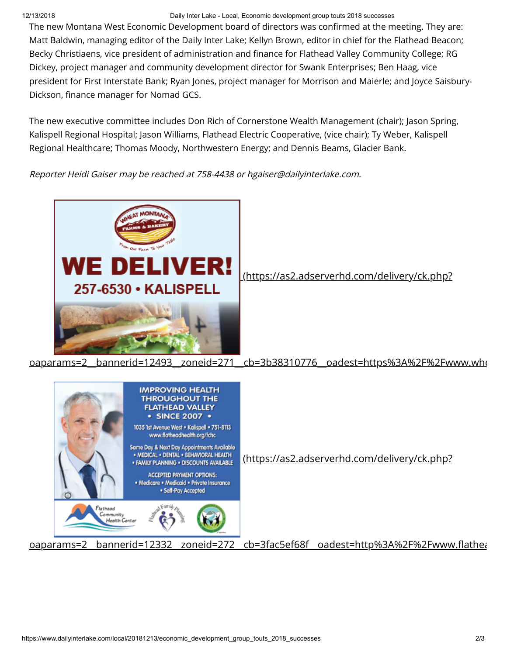## 12/13/2018 Daily Inter Lake - Local, Economic development group touts 2018 successes

The new Montana West Economic Development board of directors was confirmed at the meeting. They are: Matt Baldwin, managing editor of the Daily Inter Lake; Kellyn Brown, editor in chief for the Flathead Beacon; Becky Christiaens, vice president of administration and finance for Flathead Valley Community College; RG Dickey, project manager and community development director for Swank Enterprises; Ben Haag, vice president for First Interstate Bank; Ryan Jones, project manager for Morrison and Maierle; and Joyce Saisbury-Dickson, finance manager for Nomad GCS.

The new executive committee includes Don Rich of Cornerstone Wealth Management (chair); Jason Spring, Kalispell Regional Hospital; Jason Williams, Flathead Electric Cooperative, (vice chair); Ty Weber, Kalispell Regional Healthcare; Thomas Moody, Northwestern Energy; and Dennis Beams, Glacier Bank.

Reporter Heidi Gaiser may be reached at 758-4438 or hgaiser@dailyinterlake.com.



(https://as2.adserverhd.com/delivery/ck.php?

## [oaparams=2\\_\\_bannerid=12493\\_\\_zoneid=271\\_\\_cb=3b38310776\\_\\_oadest=https%3A%2F%2Fwww.whe](https://as2.adserverhd.com/delivery/ck.php?oaparams=2__bannerid=12493__zoneid=271__cb=3b38310776__oadest=https%3A%2F%2Fwww.wheatmontanakalispell.com%2F)